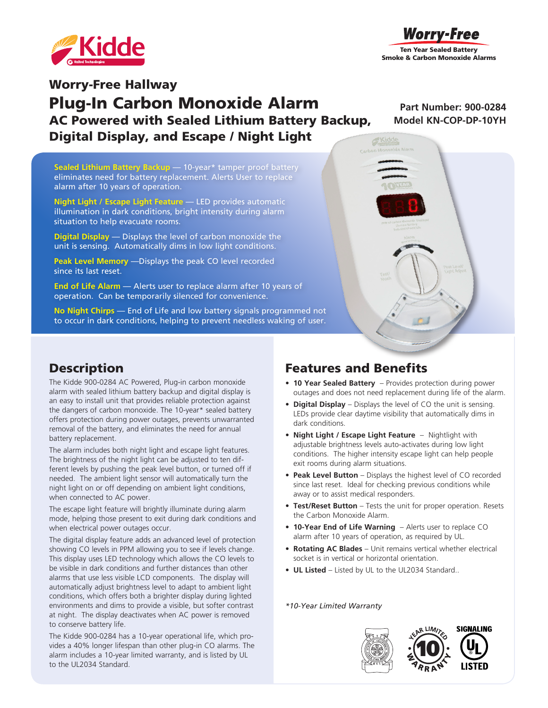



# Worry-Free Hallway Plug-In Carbon Monoxide Alarm AC Powered with Sealed Lithium Battery Backup, Digital Display, and Escape / Night Light

**Part Number: 900-0284 Model KN-COP-DP-10YH**

**Sealed Lithium Battery Backup** — 10-year\* tamper proof battery eliminates need for battery replacement. Alerts User to replace alarm after 10 years of operation.

**Night Light / Escape Light Feature** — LED provides automatic illumination in dark conditions, bright intensity during alarm situation to help evacuate rooms.

**Digital Display** — Displays the level of carbon monoxide the unit is sensing. Automatically dims in low light conditions.

**Peak Level Memory** —Displays the peak CO level recorded since its last reset.

**End of Life Alarm** — Alerts user to replace alarm after 10 years of operation. Can be temporarily silenced for convenience.

**No Night Chirps** — End of Life and low battery signals programmed not to occur in dark conditions, helping to prevent needless waking of user.



#### **Description**

The Kidde 900-0284 AC Powered, Plug-in carbon monoxide alarm with sealed lithium battery backup and digital display is an easy to install unit that provides reliable protection against the dangers of carbon monoxide. The 10-year\* sealed battery offers protection during power outages, prevents unwarranted removal of the battery, and eliminates the need for annual battery replacement.

The alarm includes both night light and escape light features. The brightness of the night light can be adjusted to ten different levels by pushing the peak level button, or turned off if needed. The ambient light sensor will automatically turn the night light on or off depending on ambient light conditions, when connected to AC power.

The escape light feature will brightly illuminate during alarm mode, helping those present to exit during dark conditions and when electrical power outages occur.

The digital display feature adds an advanced level of protection showing CO levels in PPM allowing you to see if levels change. This display uses LED technology which allows the CO levels to be visible in dark conditions and further distances than other alarms that use less visible LCD components. The display will automatically adjust brightness level to adapt to ambient light conditions, which offers both a brighter display during lighted environments and dims to provide a visible, but softer contrast at night. The display deactivates when AC power is removed to conserve battery life.

The Kidde 900-0284 has a 10-year operational life, which provides a 40% longer lifespan than other plug-in CO alarms. The alarm includes a 10-year limited warranty, and is listed by UL to the UL2034 Standard.

# Features and Benefits

- **• 10 Year Sealed Battery**  Provides protection during power outages and does not need replacement during life of the alarm.
- **• Digital Display** Displays the level of CO the unit is sensing. LEDs provide clear daytime visibility that automatically dims in dark conditions.
- **• Night Light / Escape Light Feature**  Nightlight with adjustable brightness levels auto-activates during low light conditions. The higher intensity escape light can help people exit rooms during alarm situations.
- **• Peak Level Button** Displays the highest level of CO recorded since last reset. Ideal for checking previous conditions while away or to assist medical responders.
- **• Test/Reset Button** Tests the unit for proper operation. Resets the Carbon Monoxide Alarm.
- **• 10-Year End of Life Warning**  Alerts user to replace CO alarm after 10 years of operation, as required by UL.
- **• Rotating AC Blades** Unit remains vertical whether electrical socket is in vertical or horizontal orientation.
- **• UL Listed**  Listed by UL to the UL2034 Standard..

*\*10-Year Limited Warranty*